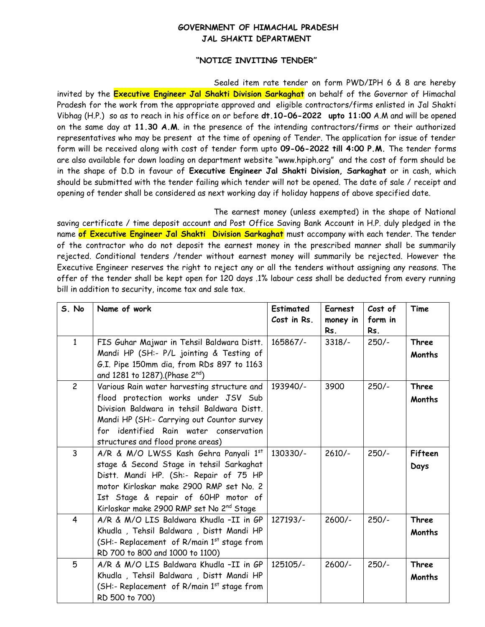## **GOVERNMENT OF HIMACHAL PRADESH JAL SHAKTI DEPARTMENT**

## **"NOTICE INVITING TENDER"**

Sealed item rate tender on form PWD/IPH 6 & 8 are hereby invited by the **Executive Engineer Jal Shakti Division Sarkaghat** on behalf of the Governor of Himachal Pradesh for the work from the appropriate approved and eligible contractors/firms enlisted in Jal Shakti Vibhag (H.P.) so as to reach in his office on or before **dt.10-06-2022 upto 11:00** A.M and will be opened on the same day at **11.30 A.M**. in the presence of the intending contractors/firms or their authorized representatives who may be present at the time of opening of Tender. The application for issue of tender form will be received along with cost of tender form upto **09-06-2022 till 4:00 P.M.** The tender forms are also available for down loading on department website "www.hpiph.org" and the cost of form should be in the shape of D.D in favour of **Executive Engineer Jal Shakti Division, Sarkaghat** or in cash, which should be submitted with the tender failing which tender will not be opened. The date of sale / receipt and opening of tender shall be considered as next working day if holiday happens of above specified date.

The earnest money (unless exempted) in the shape of National saving certificate / time deposit account and Post Office Saving Bank Account in H.P. duly pledged in the name **of Executive Engineer Jal Shakti Division Sarkaghat** must accompany with each tender. The tender of the contractor who do not deposit the earnest money in the prescribed manner shall be summarily rejected. Conditional tenders /tender without earnest money will summarily be rejected. However the Executive Engineer reserves the right to reject any or all the tenders without assigning any reasons. The offer of the tender shall be kept open for 120 days .1% labour cess shall be deducted from every running bill in addition to security, income tax and sale tax.

| S. No          | Name of work                                                                  | <b>Estimated</b><br>Cost in Rs. | Earnest<br>money in<br>Rs. | Cost of<br>form in<br>Rs. | Time          |
|----------------|-------------------------------------------------------------------------------|---------------------------------|----------------------------|---------------------------|---------------|
| $\mathbf{1}$   | FIS Guhar Majwar in Tehsil Baldwara Distt.                                    | 165867/-                        | $3318/-$                   | $250/-$                   | <b>Three</b>  |
|                | Mandi HP (SH:- P/L jointing & Testing of                                      |                                 |                            |                           | <b>Months</b> |
|                | G.I. Pipe 150mm dia, from RDs 897 to 1163<br>and 1281 to 1287).(Phase 2nd)    |                                 |                            |                           |               |
| $\overline{c}$ | Various Rain water harvesting structure and                                   | 193940/-                        | 3900                       | $250/-$                   | <b>Three</b>  |
|                | flood protection works under JSV Sub                                          |                                 |                            |                           | <b>Months</b> |
|                | Division Baldwara in tehsil Baldwara Distt.                                   |                                 |                            |                           |               |
|                | Mandi HP (SH:- Carrying out Countor survey                                    |                                 |                            |                           |               |
|                | for identified Rain water conservation                                        |                                 |                            |                           |               |
|                | structures and flood prone areas)                                             |                                 |                            |                           |               |
| $\overline{3}$ | A/R & M/O LWSS Kash Gehra Panyali 1st                                         | 130330/-                        | $2610/-$                   | $250/-$                   | Fifteen       |
|                | stage & Second Stage in tehsil Sarkaghat                                      |                                 |                            |                           | Days          |
|                | Distt. Mandi HP. (Sh:- Repair of 75 HP                                        |                                 |                            |                           |               |
|                | motor Kirloskar make 2900 RMP set No. 2                                       |                                 |                            |                           |               |
|                | Ist Stage & repair of 60HP motor of                                           |                                 |                            |                           |               |
|                | Kirloskar make 2900 RMP set No 2nd Stage                                      |                                 |                            |                           |               |
| $\overline{4}$ | A/R & M/O LIS Baldwara Khudla -II in GP                                       | 127193/-                        | $2600/-$                   | $250/-$                   | <b>Three</b>  |
|                | Khudla, Tehsil Baldwara, Distt Mandi HP                                       |                                 |                            |                           | <b>Months</b> |
|                | (SH:- Replacement of R/main 1st stage from<br>RD 700 to 800 and 1000 to 1100) |                                 |                            |                           |               |
| 5              | A/R & M/O LIS Baldwara Khudla -II in GP                                       | 125105/-                        | $2600/-$                   | $250/-$                   | <b>Three</b>  |
|                | Khudla, Tehsil Baldwara, Distt Mandi HP                                       |                                 |                            |                           | <b>Months</b> |
|                | (SH:- Replacement of R/main 1st stage from                                    |                                 |                            |                           |               |
|                | RD 500 to 700)                                                                |                                 |                            |                           |               |